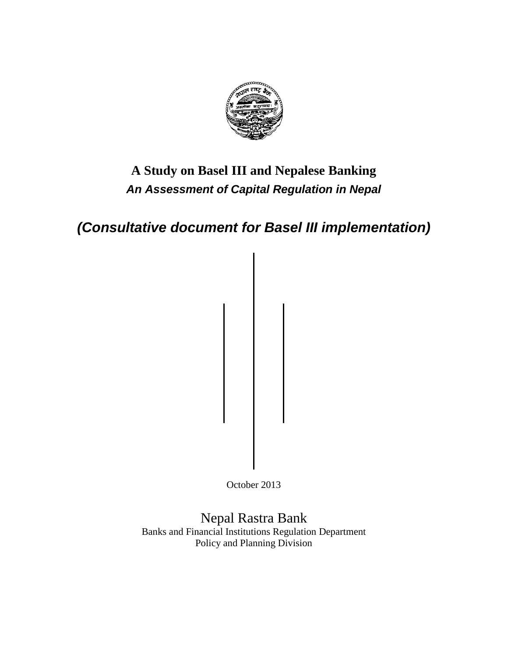

# **A Study on Basel III and Nepalese Banking** *An Assessment of Capital Regulation in Nepal*

*(Consultative document for Basel III implementation)*

October 2013

Nepal Rastra Bank Banks and Financial Institutions Regulation Department Policy and Planning Division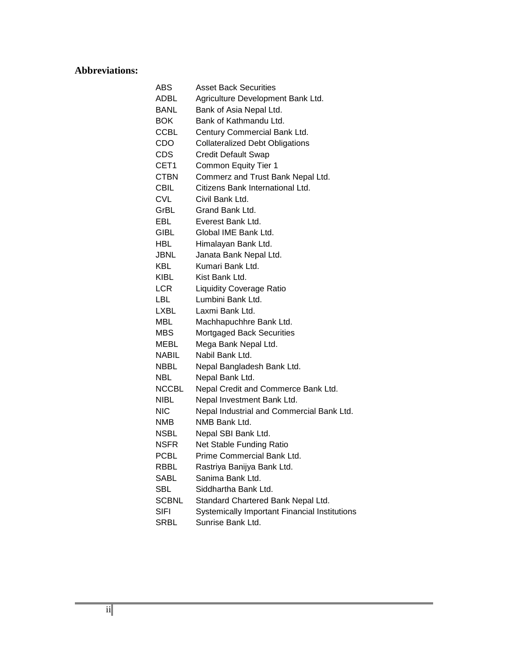# <span id="page-1-0"></span>**Abbreviations:**

| ABS          | <b>Asset Back Securities</b>                         |
|--------------|------------------------------------------------------|
| ADBL         | Agriculture Development Bank Ltd.                    |
| <b>BANL</b>  | Bank of Asia Nepal Ltd.                              |
| <b>BOK</b>   | Bank of Kathmandu Ltd.                               |
| <b>CCBL</b>  | Century Commercial Bank Ltd.                         |
| CDO          | <b>Collateralized Debt Obligations</b>               |
| CDS          | <b>Credit Default Swap</b>                           |
| CET1         | <b>Common Equity Tier 1</b>                          |
| <b>CTBN</b>  | Commerz and Trust Bank Nepal Ltd.                    |
| <b>CBIL</b>  | Citizens Bank International Ltd.                     |
| <b>CVL</b>   | Civil Bank Ltd.                                      |
| GrBL         | Grand Bank Ltd.                                      |
| EBL          | Everest Bank Ltd.                                    |
| GIBL .       | Global IME Bank Ltd.                                 |
| HBL.         | Himalayan Bank Ltd.                                  |
| JBNL         | Janata Bank Nepal Ltd.                               |
| KBL          | Kumari Bank Ltd.                                     |
| KIBL         | Kist Bank Ltd.                                       |
| LCR          | <b>Liquidity Coverage Ratio</b>                      |
| <b>LBL</b>   | Lumbini Bank Ltd.                                    |
| <b>LXBL</b>  | Laxmi Bank Ltd.                                      |
| MBL          | Machhapuchhre Bank Ltd.                              |
| MBS.         | Mortgaged Back Securities                            |
| MEBL         | Mega Bank Nepal Ltd.                                 |
| <b>NABIL</b> | Nabil Bank Ltd.                                      |
| NBBL         | Nepal Bangladesh Bank Ltd.                           |
| NBL          | Nepal Bank Ltd.                                      |
| <b>NCCBL</b> | Nepal Credit and Commerce Bank Ltd.                  |
| NIBL.        | Nepal Investment Bank Ltd.                           |
| <b>NIC</b>   | Nepal Industrial and Commercial Bank Ltd.            |
| NMB          | NMB Bank Ltd.                                        |
| NSBL         | Nepal SBI Bank Ltd.                                  |
| NSFR         | Net Stable Funding Ratio                             |
| <b>PCBL</b>  | Prime Commercial Bank Ltd.                           |
| RBBL         | Rastriya Banijya Bank Ltd.                           |
| SABL         | Sanima Bank Ltd.                                     |
| <b>SBL</b>   | Siddhartha Bank Ltd.                                 |
| <b>SCBNL</b> | Standard Chartered Bank Nepal Ltd.                   |
| <b>SIFI</b>  | <b>Systemically Important Financial Institutions</b> |
| SRBL         | Sunrise Bank Ltd.                                    |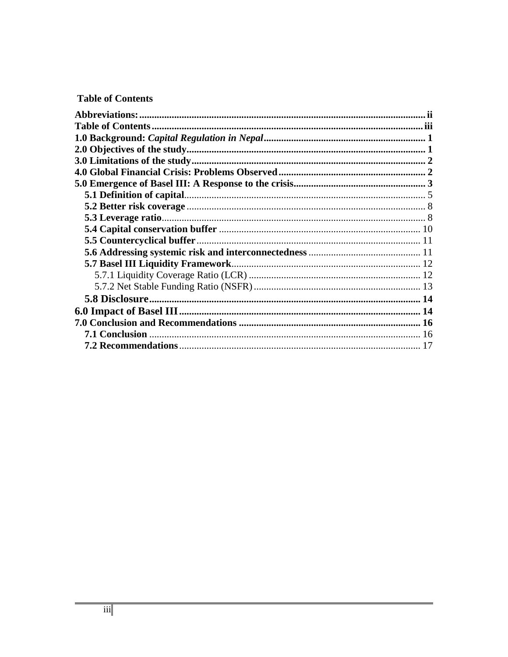# <span id="page-2-0"></span>**Table of Contents**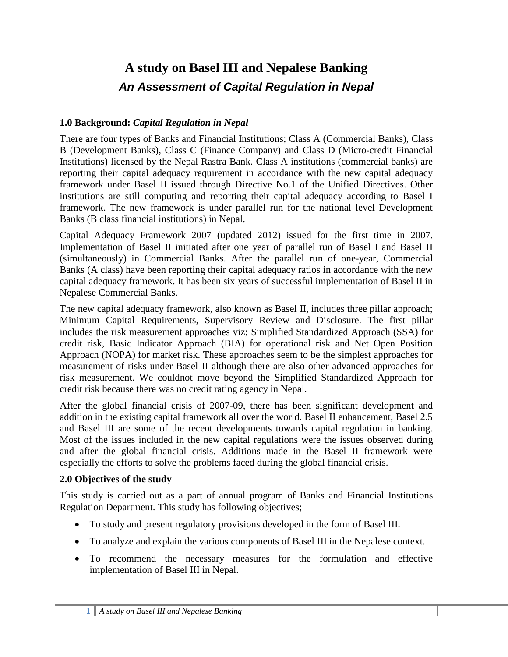# **A study on Basel III and Nepalese Banking** *An Assessment of Capital Regulation in Nepal*

# <span id="page-3-0"></span>**1.0 Background:** *Capital Regulation in Nepal*

There are four types of Banks and Financial Institutions; Class A (Commercial Banks), Class B (Development Banks), Class C (Finance Company) and Class D (Micro-credit Financial Institutions) licensed by the Nepal Rastra Bank. Class A institutions (commercial banks) are reporting their capital adequacy requirement in accordance with the new capital adequacy framework under Basel II issued through Directive No.1 of the Unified Directives. Other institutions are still computing and reporting their capital adequacy according to Basel I framework. The new framework is under parallel run for the national level Development Banks (B class financial institutions) in Nepal.

Capital Adequacy Framework 2007 (updated 2012) issued for the first time in 2007. Implementation of Basel II initiated after one year of parallel run of Basel I and Basel II (simultaneously) in Commercial Banks. After the parallel run of one-year, Commercial Banks (A class) have been reporting their capital adequacy ratios in accordance with the new capital adequacy framework. It has been six years of successful implementation of Basel II in Nepalese Commercial Banks.

The new capital adequacy framework, also known as Basel II, includes three pillar approach; Minimum Capital Requirements, Supervisory Review and Disclosure. The first pillar includes the risk measurement approaches viz; Simplified Standardized Approach (SSA) for credit risk, Basic Indicator Approach (BIA) for operational risk and Net Open Position Approach (NOPA) for market risk. These approaches seem to be the simplest approaches for measurement of risks under Basel II although there are also other advanced approaches for risk measurement. We couldnot move beyond the Simplified Standardized Approach for credit risk because there was no credit rating agency in Nepal.

After the global financial crisis of 2007-09, there has been significant development and addition in the existing capital framework all over the world. Basel II enhancement, Basel 2.5 and Basel III are some of the recent developments towards capital regulation in banking. Most of the issues included in the new capital regulations were the issues observed during and after the global financial crisis. Additions made in the Basel II framework were especially the efforts to solve the problems faced during the global financial crisis.

# <span id="page-3-1"></span>**2.0 Objectives of the study**

This study is carried out as a part of annual program of Banks and Financial Institutions Regulation Department. This study has following objectives;

- To study and present regulatory provisions developed in the form of Basel III.
- To analyze and explain the various components of Basel III in the Nepalese context.
- To recommend the necessary measures for the formulation and effective implementation of Basel III in Nepal.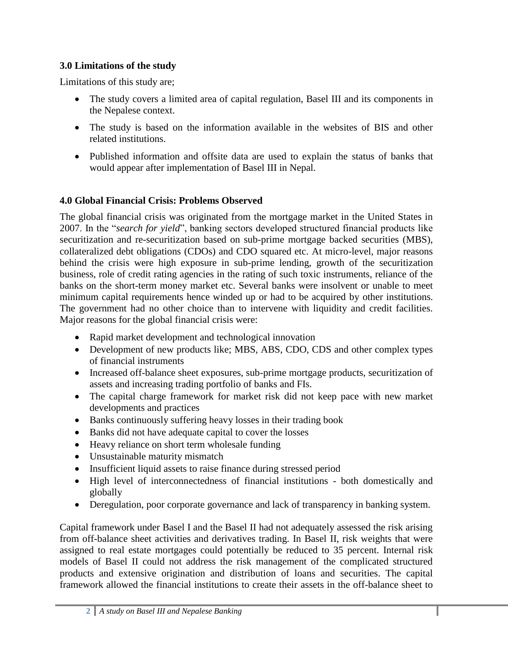# <span id="page-4-0"></span>**3.0 Limitations of the study**

Limitations of this study are;

- The study covers a limited area of capital regulation, Basel III and its components in the Nepalese context.
- The study is based on the information available in the websites of BIS and other related institutions.
- Published information and offsite data are used to explain the status of banks that would appear after implementation of Basel III in Nepal.

# <span id="page-4-1"></span>**4.0 Global Financial Crisis: Problems Observed**

The global financial crisis was originated from the mortgage market in the United States in 2007. In the "*search for yield*", banking sectors developed structured financial products like securitization and re-securitization based on sub-prime mortgage backed securities (MBS), collateralized debt obligations (CDOs) and CDO squared etc. At micro-level, major reasons behind the crisis were high exposure in sub-prime lending, growth of the securitization business, role of credit rating agencies in the rating of such toxic instruments, reliance of the banks on the short-term money market etc. Several banks were insolvent or unable to meet minimum capital requirements hence winded up or had to be acquired by other institutions. The government had no other choice than to intervene with liquidity and credit facilities. Major reasons for the global financial crisis were:

- Rapid market development and technological innovation
- Development of new products like; MBS, ABS, CDO, CDS and other complex types of financial instruments
- Increased off-balance sheet exposures, sub-prime mortgage products, securitization of assets and increasing trading portfolio of banks and FIs.
- The capital charge framework for market risk did not keep pace with new market developments and practices
- Banks continuously suffering heavy losses in their trading book
- Banks did not have adequate capital to cover the losses
- Heavy reliance on short term wholesale funding
- Unsustainable maturity mismatch
- Insufficient liquid assets to raise finance during stressed period
- High level of interconnectedness of financial institutions both domestically and globally
- Deregulation, poor corporate governance and lack of transparency in banking system.

Capital framework under Basel I and the Basel II had not adequately assessed the risk arising from off-balance sheet activities and derivatives trading. In Basel II, risk weights that were assigned to real estate mortgages could potentially be reduced to 35 percent. Internal risk models of Basel II could not address the risk management of the complicated structured products and extensive origination and distribution of loans and securities. The capital framework allowed the financial institutions to create their assets in the off-balance sheet to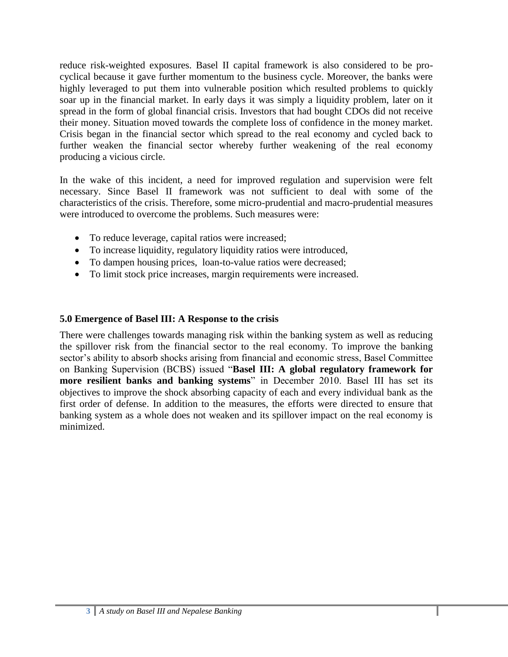reduce risk-weighted exposures. Basel II capital framework is also considered to be procyclical because it gave further momentum to the business cycle. Moreover, the banks were highly leveraged to put them into vulnerable position which resulted problems to quickly soar up in the financial market. In early days it was simply a liquidity problem, later on it spread in the form of global financial crisis. Investors that had bought CDOs did not receive their money. Situation moved towards the complete loss of confidence in the money market. Crisis began in the financial sector which spread to the real economy and cycled back to further weaken the financial sector whereby further weakening of the real economy producing a vicious circle.

In the wake of this incident, a need for improved regulation and supervision were felt necessary. Since Basel II framework was not sufficient to deal with some of the characteristics of the crisis. Therefore, some micro-prudential and macro-prudential measures were introduced to overcome the problems. Such measures were:

- To reduce leverage, capital ratios were increased;
- To increase liquidity, regulatory liquidity ratios were introduced,
- To dampen housing prices, loan-to-value ratios were decreased;
- To limit stock price increases, margin requirements were increased.

# <span id="page-5-0"></span>**5.0 Emergence of Basel III: A Response to the crisis**

There were challenges towards managing risk within the banking system as well as reducing the spillover risk from the financial sector to the real economy. To improve the banking sector's ability to absorb shocks arising from financial and economic stress, Basel Committee on Banking Supervision (BCBS) issued "**Basel III: A global regulatory framework for more resilient banks and banking systems**" in December 2010. Basel III has set its objectives to improve the shock absorbing capacity of each and every individual bank as the first order of defense. In addition to the measures, the efforts were directed to ensure that banking system as a whole does not weaken and its spillover impact on the real economy is minimized.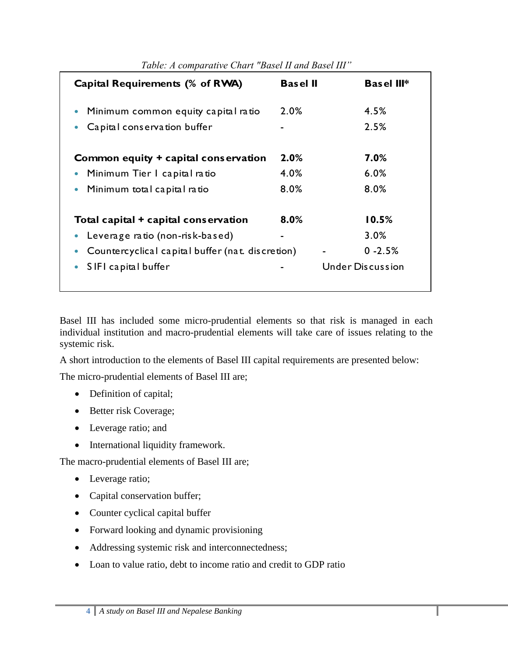| Table: A comparative Chart "Basel II and Basel III" |                 |                         |  |
|-----------------------------------------------------|-----------------|-------------------------|--|
| Capital Requirements (% of RWA)                     | <b>Basel II</b> | <b>Basel III*</b>       |  |
| Minimum common equity capital ratio                 | 2.0%            | 4.5%                    |  |
| Capital conservation buffer                         |                 | 2.5%                    |  |
| Common equity + capital conservation                | 2.0%            | 7.0%                    |  |
| Minimum Tier I capital ratio                        | 4.0%            | 6.0%                    |  |
| Minimum total capital ratio                         | 8.0%            | 8.0%                    |  |
| Total capital + capital conservation                | 8.0%            | 10.5%                   |  |
| Leverage ratio (non-risk-based)                     |                 | 3.0%                    |  |
| Countercyclical capital buffer (nat. discretion)    |                 | $0 - 2.5%$              |  |
| SIFI capital buffer                                 |                 | <b>Under Discussion</b> |  |

Basel III has included some micro-prudential elements so that risk is managed in each individual institution and macro-prudential elements will take care of issues relating to the systemic risk.

A short introduction to the elements of Basel III capital requirements are presented below:

The micro-prudential elements of Basel III are;

- Definition of capital;
- Better risk Coverage;
- Leverage ratio; and
- International liquidity framework.

The macro-prudential elements of Basel III are;

- Leverage ratio;
- Capital conservation buffer;
- Counter cyclical capital buffer
- Forward looking and dynamic provisioning
- Addressing systemic risk and interconnectedness;
- Loan to value ratio, debt to income ratio and credit to GDP ratio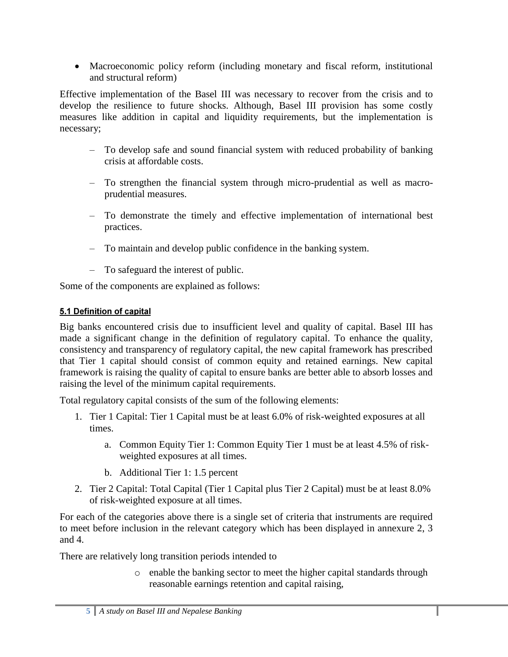Macroeconomic policy reform (including monetary and fiscal reform, institutional and structural reform)

Effective implementation of the Basel III was necessary to recover from the crisis and to develop the resilience to future shocks. Although, Basel III provision has some costly measures like addition in capital and liquidity requirements, but the implementation is necessary;

- To develop safe and sound financial system with reduced probability of banking crisis at affordable costs.
- To strengthen the financial system through micro-prudential as well as macroprudential measures.
- To demonstrate the timely and effective implementation of international best practices.
- To maintain and develop public confidence in the banking system.
- To safeguard the interest of public.

Some of the components are explained as follows:

# <span id="page-7-0"></span>5.1 Definition of capital

Big banks encountered crisis due to insufficient level and quality of capital. Basel III has made a significant change in the definition of regulatory capital. To enhance the quality, consistency and transparency of regulatory capital, the new capital framework has prescribed that Tier 1 capital should consist of common equity and retained earnings. New capital framework is raising the quality of capital to ensure banks are better able to absorb losses and raising the level of the minimum capital requirements.

Total regulatory capital consists of the sum of the following elements:

- 1. Tier 1 Capital: Tier 1 Capital must be at least 6.0% of risk-weighted exposures at all times.
	- a. Common Equity Tier 1: Common Equity Tier 1 must be at least 4.5% of riskweighted exposures at all times.
	- b. Additional Tier 1: 1.5 percent
- 2. Tier 2 Capital: Total Capital (Tier 1 Capital plus Tier 2 Capital) must be at least 8.0% of risk-weighted exposure at all times.

For each of the categories above there is a single set of criteria that instruments are required to meet before inclusion in the relevant category which has been displayed in annexure 2, 3 and 4.

There are relatively long transition periods intended to

o enable the banking sector to meet the higher capital standards through reasonable earnings retention and capital raising,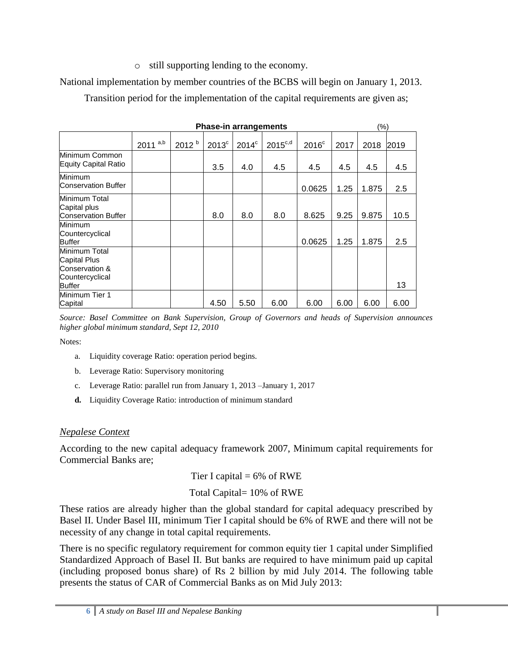o still supporting lending to the economy.

National implementation by member countries of the BCBS will begin on January 1, 2013.

Transition period for the implementation of the capital requirements are given as;

|                                                                                     | (%)         |                   |                |          |                     |                |      |       |      |
|-------------------------------------------------------------------------------------|-------------|-------------------|----------------|----------|---------------------|----------------|------|-------|------|
|                                                                                     | a,b<br>2011 | 2012 <sup>b</sup> | $2013^{\circ}$ | $2014^c$ | $2015^{\text{c,d}}$ | $2016^{\circ}$ | 2017 | 2018  | 2019 |
| Minimum Common<br>Equity Capital Ratio                                              |             |                   | 3.5            | 4.0      | 4.5                 | 4.5            | 4.5  | 4.5   | 4.5  |
| Minimum<br><b>Conservation Buffer</b>                                               |             |                   |                |          |                     | 0.0625         | 1.25 | 1.875 | 2.5  |
| Minimum Total<br>Capital plus<br><b>Conservation Buffer</b>                         |             |                   | 8.0            | 8.0      | 8.0                 | 8.625          | 9.25 | 9.875 | 10.5 |
| <b>Minimum</b><br>Countercyclical<br><b>Buffer</b>                                  |             |                   |                |          |                     | 0.0625         | 1.25 | 1.875 | 2.5  |
| Minimum Total<br>Capital Plus<br>Conservation &<br>Countercyclical<br><b>Buffer</b> |             |                   |                |          |                     |                |      |       | 13   |
| Minimum Tier 1<br>Capital                                                           |             |                   | 4.50           | 5.50     | 6.00                | 6.00           | 6.00 | 6.00  | 6.00 |

*Source: Basel Committee on Bank Supervision, Group of Governors and heads of Supervision announces higher global minimum standard, Sept 12, 2010*

Notes:

- a. Liquidity coverage Ratio: operation period begins.
- b. Leverage Ratio: Supervisory monitoring
- c. Leverage Ratio: parallel run from January 1, 2013 –January 1, 2017
- **d.** Liquidity Coverage Ratio: introduction of minimum standard

# *Nepalese Context*

According to the new capital adequacy framework 2007, Minimum capital requirements for Commercial Banks are;

Tier I capital  $= 6\%$  of RWE

# Total Capital= 10% of RWE

These ratios are already higher than the global standard for capital adequacy prescribed by Basel II. Under Basel III, minimum Tier I capital should be 6% of RWE and there will not be necessity of any change in total capital requirements.

There is no specific regulatory requirement for common equity tier 1 capital under Simplified Standardized Approach of Basel II. But banks are required to have minimum paid up capital (including proposed bonus share) of Rs 2 billion by mid July 2014. The following table presents the status of CAR of Commercial Banks as on Mid July 2013: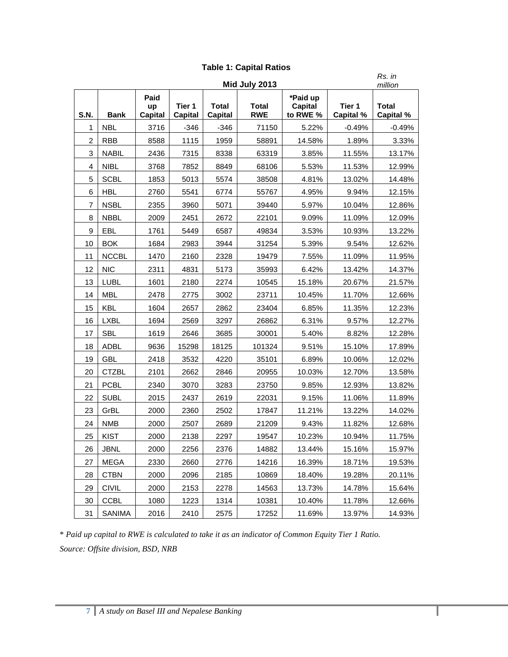| Rs. in<br>Mid July 2013 |              |                              |                   |                         |                            |                                        |                            |                                      |  |  |
|-------------------------|--------------|------------------------------|-------------------|-------------------------|----------------------------|----------------------------------------|----------------------------|--------------------------------------|--|--|
| S.N.                    | <b>Bank</b>  | Paid<br>up<br><b>Capital</b> | Tier 1<br>Capital | <b>Total</b><br>Capital | <b>Total</b><br><b>RWE</b> | *Paid up<br><b>Capital</b><br>to RWE % | Tier 1<br><b>Capital %</b> | million<br><b>Total</b><br>Capital % |  |  |
| 1                       | <b>NBL</b>   | 3716                         | $-346$            | $-346$                  | 71150                      | 5.22%                                  | $-0.49%$                   | $-0.49%$                             |  |  |
| $\overline{2}$          | <b>RBB</b>   | 8588                         | 1115              | 1959                    | 58891                      | 14.58%                                 | 1.89%                      | 3.33%                                |  |  |
| 3                       | <b>NABIL</b> | 2436                         | 7315              | 8338                    | 63319                      | 3.85%                                  | 11.55%                     | 13.17%                               |  |  |
| 4                       | <b>NIBL</b>  | 3768                         | 7852              | 8849                    | 68106                      | 5.53%                                  | 11.53%                     | 12.99%                               |  |  |
| 5                       | <b>SCBL</b>  | 1853                         | 5013              | 5574                    | 38508                      | 4.81%                                  | 13.02%                     | 14.48%                               |  |  |
| 6                       | <b>HBL</b>   | 2760                         | 5541              | 6774                    | 55767                      | 4.95%                                  | 9.94%                      | 12.15%                               |  |  |
| 7                       | <b>NSBL</b>  | 2355                         | 3960              | 5071                    | 39440                      | 5.97%                                  | 10.04%                     | 12.86%                               |  |  |
| 8                       | <b>NBBL</b>  | 2009                         | 2451              | 2672                    | 22101                      | 9.09%                                  | 11.09%                     | 12.09%                               |  |  |
| 9                       | EBL          | 1761                         | 5449              | 6587                    | 49834                      | 3.53%                                  | 10.93%                     | 13.22%                               |  |  |
| 10                      | <b>BOK</b>   | 1684                         | 2983              | 3944                    | 31254                      | 5.39%                                  | 9.54%                      | 12.62%                               |  |  |
| 11                      | <b>NCCBL</b> | 1470                         | 2160              | 2328                    | 19479                      | 7.55%                                  | 11.09%                     | 11.95%                               |  |  |
| 12                      | <b>NIC</b>   | 2311                         | 4831              | 5173                    | 35993                      | 6.42%                                  | 13.42%                     | 14.37%                               |  |  |
| 13                      | <b>LUBL</b>  | 1601                         | 2180              | 2274                    | 10545                      | 15.18%                                 | 20.67%                     | 21.57%                               |  |  |
| 14                      | <b>MBL</b>   | 2478                         | 2775              | 3002                    | 23711                      | 10.45%                                 | 11.70%                     | 12.66%                               |  |  |
| 15                      | <b>KBL</b>   | 1604                         | 2657              | 2862                    | 23404                      | 6.85%                                  | 11.35%                     | 12.23%                               |  |  |
| 16                      | <b>LXBL</b>  | 1694                         | 2569              | 3297                    | 26862                      | 6.31%                                  | 9.57%                      | 12.27%                               |  |  |
| 17                      | <b>SBL</b>   | 1619                         | 2646              | 3685                    | 30001                      | 5.40%                                  | 8.82%                      | 12.28%                               |  |  |
| 18                      | <b>ADBL</b>  | 9636                         | 15298             | 18125                   | 101324                     | 9.51%                                  | 15.10%                     | 17.89%                               |  |  |
| 19                      | <b>GBL</b>   | 2418                         | 3532              | 4220                    | 35101                      | 6.89%                                  | 10.06%                     | 12.02%                               |  |  |
| 20                      | <b>CTZBL</b> | 2101                         | 2662              | 2846                    | 20955                      | 10.03%                                 | 12.70%                     | 13.58%                               |  |  |
| 21                      | <b>PCBL</b>  | 2340                         | 3070              | 3283                    | 23750                      | 9.85%                                  | 12.93%                     | 13.82%                               |  |  |
| 22                      | <b>SUBL</b>  | 2015                         | 2437              | 2619                    | 22031                      | 9.15%                                  | 11.06%                     | 11.89%                               |  |  |
| 23                      | GrBL         | 2000                         | 2360              | 2502                    | 17847                      | 11.21%                                 | 13.22%                     | 14.02%                               |  |  |
| 24                      | <b>NMB</b>   | 2000                         | 2507              | 2689                    | 21209                      | 9.43%                                  | 11.82%                     | 12.68%                               |  |  |
| 25                      | <b>KIST</b>  | 2000                         | 2138              | 2297                    | 19547                      | 10.23%                                 | 10.94%                     | 11.75%                               |  |  |
| 26                      | <b>JBNL</b>  | 2000                         | 2256              | 2376                    | 14882                      | 13.44%                                 | 15.16%                     | 15.97%                               |  |  |
| 27                      | <b>MEGA</b>  | 2330                         | 2660              | 2776                    | 14216                      | 16.39%                                 | 18.71%                     | 19.53%                               |  |  |
| 28                      | <b>CTBN</b>  | 2000                         | 2096              | 2185                    | 10869                      | 18.40%                                 | 19.28%                     | 20.11%                               |  |  |
| 29                      | <b>CIVIL</b> | 2000                         | 2153              | 2278                    | 14563                      | 13.73%                                 | 14.78%                     | 15.64%                               |  |  |
| 30                      | <b>CCBL</b>  | 1080                         | 1223              | 1314                    | 10381                      | 10.40%                                 | 11.78%                     | 12.66%                               |  |  |
| 31                      | SANIMA       | 2016                         | 2410              | 2575                    | 17252                      | 11.69%                                 | 13.97%                     | 14.93%                               |  |  |

# **Table 1: Capital Ratios**

\* *Paid up capital to RWE is calculated to take it as an indicator of Common Equity Tier 1 Ratio. Source: Offsite division, BSD, NRB*

L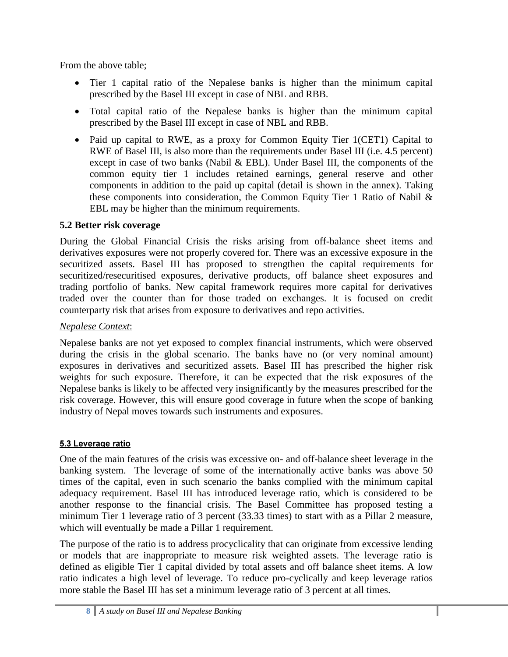From the above table;

- Tier 1 capital ratio of the Nepalese banks is higher than the minimum capital prescribed by the Basel III except in case of NBL and RBB.
- Total capital ratio of the Nepalese banks is higher than the minimum capital prescribed by the Basel III except in case of NBL and RBB.
- <span id="page-10-0"></span>• Paid up capital to RWE, as a proxy for Common Equity Tier 1(CET1) Capital to RWE of Basel III, is also more than the requirements under Basel III (i.e. 4.5 percent) except in case of two banks (Nabil & EBL). Under Basel III, the components of the common equity tier 1 includes retained earnings, general reserve and other components in addition to the paid up capital (detail is shown in the annex). Taking these components into consideration, the Common Equity Tier 1 Ratio of Nabil & EBL may be higher than the minimum requirements.

# **5.2 Better risk coverage**

During the Global Financial Crisis the risks arising from off-balance sheet items and derivatives exposures were not properly covered for. There was an excessive exposure in the securitized assets. Basel III has proposed to strengthen the capital requirements for securitized/resecuritised exposures, derivative products, off balance sheet exposures and trading portfolio of banks. New capital framework requires more capital for derivatives traded over the counter than for those traded on exchanges. It is focused on credit counterparty risk that arises from exposure to derivatives and repo activities.

# *Nepalese Context*:

Nepalese banks are not yet exposed to complex financial instruments, which were observed during the crisis in the global scenario. The banks have no (or very nominal amount) exposures in derivatives and securitized assets. Basel III has prescribed the higher risk weights for such exposure. Therefore, it can be expected that the risk exposures of the Nepalese banks is likely to be affected very insignificantly by the measures prescribed for the risk coverage. However, this will ensure good coverage in future when the scope of banking industry of Nepal moves towards such instruments and exposures.

# <span id="page-10-1"></span>5.3 Leverage ratio

One of the main features of the crisis was excessive on- and off-balance sheet leverage in the banking system. The leverage of some of the internationally active banks was above 50 times of the capital, even in such scenario the banks complied with the minimum capital adequacy requirement. Basel III has introduced leverage ratio, which is considered to be another response to the financial crisis. The Basel Committee has proposed testing a minimum Tier 1 leverage ratio of 3 percent (33.33 times) to start with as a Pillar 2 measure, which will eventually be made a Pillar 1 requirement.

The purpose of the ratio is to address procyclicality that can originate from excessive lending or models that are inappropriate to measure risk weighted assets. The leverage ratio is defined as eligible Tier 1 capital divided by total assets and off balance sheet items. A low ratio indicates a high level of leverage. To reduce pro-cyclically and keep leverage ratios more stable the Basel III has set a minimum leverage ratio of 3 percent at all times.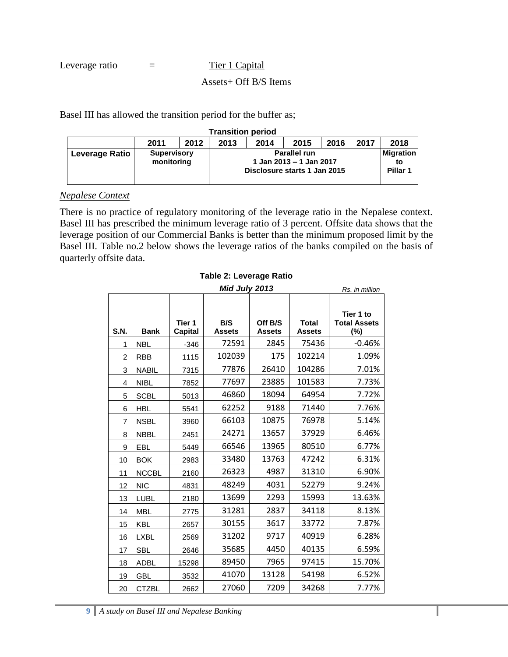Leverage ratio  $=$  Tier 1 Capital

Basel III has allowed the transition period for the buffer as;

| <b>Transition period</b> |                                  |                                              |  |                              |                                                |  |  |                                               |  |  |
|--------------------------|----------------------------------|----------------------------------------------|--|------------------------------|------------------------------------------------|--|--|-----------------------------------------------|--|--|
|                          | 2011                             | 2017<br>2013<br>2012<br>2014<br>2016<br>2015 |  |                              |                                                |  |  |                                               |  |  |
| Leverage Ratio           | <b>Supervisory</b><br>monitoring |                                              |  | Disclosure starts 1 Jan 2015 | <b>Parallel run</b><br>1 Jan 2013 – 1 Jan 2017 |  |  | <b>Migration</b><br>to<br>Pillar <sub>1</sub> |  |  |

#### *Nepalese Context*

There is no practice of regulatory monitoring of the leverage ratio in the Nepalese context. Basel III has prescribed the minimum leverage ratio of 3 percent. Offsite data shows that the leverage position of our Commercial Banks is better than the minimum proposed limit by the Basel III. Table no.2 below shows the leverage ratios of the banks compiled on the basis of quarterly offsite data.

#### **Table 2: Leverage Ratio**

|                | Mid July 2013 |                   |                      |                          |                               |                                            |  |  |
|----------------|---------------|-------------------|----------------------|--------------------------|-------------------------------|--------------------------------------------|--|--|
| S.N.           | <b>Bank</b>   | Tier 1<br>Capital | B/S<br><b>Assets</b> | Off B/S<br><b>Assets</b> | <b>Total</b><br><b>Assets</b> | Tier 1 to<br><b>Total Assets</b><br>$(\%)$ |  |  |
| 1              | <b>NBL</b>    | $-346$            | 72591                | 2845                     | 75436                         | $-0.46%$                                   |  |  |
| $\overline{c}$ | <b>RBB</b>    | 1115              | 102039               | 175                      | 102214                        | 1.09%                                      |  |  |
| 3              | <b>NABIL</b>  | 7315              | 77876                | 26410                    | 104286                        | 7.01%                                      |  |  |
| 4              | <b>NIBL</b>   | 7852              | 77697                | 23885                    | 101583                        | 7.73%                                      |  |  |
| 5              | <b>SCBL</b>   | 5013              | 46860                | 18094                    | 64954                         | 7.72%                                      |  |  |
| 6              | <b>HBL</b>    | 5541              | 62252                | 9188                     | 71440                         | 7.76%                                      |  |  |
| 7              | <b>NSBL</b>   | 3960              | 66103                | 10875                    | 76978                         | 5.14%                                      |  |  |
| 8              | <b>NBBL</b>   | 2451              | 24271                | 13657                    | 37929                         | 6.46%                                      |  |  |
| 9              | EBL           | 5449              | 66546                | 13965                    | 80510                         | 6.77%                                      |  |  |
| 10             | <b>BOK</b>    | 2983              | 33480                | 13763                    | 47242                         | 6.31%                                      |  |  |
| 11             | <b>NCCBL</b>  | 2160              | 26323                | 4987                     | 31310                         | 6.90%                                      |  |  |
| 12             | <b>NIC</b>    | 4831              | 48249                | 4031                     | 52279                         | 9.24%                                      |  |  |
| 13             | <b>LUBL</b>   | 2180              | 13699                | 2293                     | 15993                         | 13.63%                                     |  |  |
| 14             | <b>MBL</b>    | 2775              | 31281                | 2837                     | 34118                         | 8.13%                                      |  |  |
| 15             | <b>KBL</b>    | 2657              | 30155                | 3617                     | 33772                         | 7.87%                                      |  |  |
| 16             | <b>LXBL</b>   | 2569              | 31202                | 9717                     | 40919                         | 6.28%                                      |  |  |
| 17             | <b>SBL</b>    | 2646              | 35685                | 4450                     | 40135                         | 6.59%                                      |  |  |
| 18             | <b>ADBL</b>   | 15298             | 89450                | 7965                     | 97415                         | 15.70%                                     |  |  |
| 19             | <b>GBL</b>    | 3532              | 41070                | 13128                    | 54198                         | 6.52%                                      |  |  |
| 20             | <b>CTZBL</b>  | 2662              | 27060                | 7209                     | 34268                         | 7.77%                                      |  |  |

ı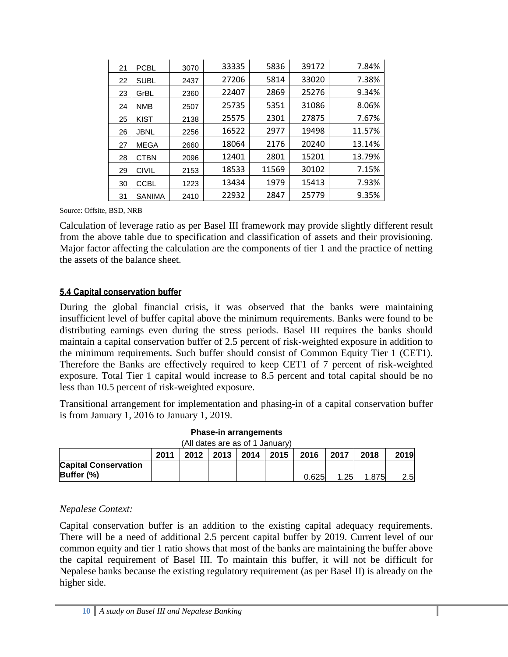| 21 | <b>PCBL</b>   | 3070 | 33335 | 5836  | 39172 | 7.84%  |
|----|---------------|------|-------|-------|-------|--------|
| 22 | <b>SUBL</b>   | 2437 | 27206 | 5814  | 33020 | 7.38%  |
| 23 | GrBL          | 2360 | 22407 | 2869  | 25276 | 9.34%  |
| 24 | <b>NMB</b>    | 2507 | 25735 | 5351  | 31086 | 8.06%  |
| 25 | <b>KIST</b>   | 2138 | 25575 | 2301  | 27875 | 7.67%  |
| 26 | <b>JBNL</b>   | 2256 | 16522 | 2977  | 19498 | 11.57% |
| 27 | MEGA          | 2660 | 18064 | 2176  | 20240 | 13.14% |
| 28 | <b>CTBN</b>   | 2096 | 12401 | 2801  | 15201 | 13.79% |
| 29 | <b>CIVIL</b>  | 2153 | 18533 | 11569 | 30102 | 7.15%  |
| 30 | <b>CCBL</b>   | 1223 | 13434 | 1979  | 15413 | 7.93%  |
| 31 | <b>SANIMA</b> | 2410 | 22932 | 2847  | 25779 | 9.35%  |

Source: Offsite, BSD, NRB

Calculation of leverage ratio as per Basel III framework may provide slightly different result from the above table due to specification and classification of assets and their provisioning. Major factor affecting the calculation are the components of tier 1 and the practice of netting the assets of the balance sheet.

#### <span id="page-12-0"></span>5.4 Capital conservation buffer

During the global financial crisis, it was observed that the banks were maintaining insufficient level of buffer capital above the minimum requirements. Banks were found to be distributing earnings even during the stress periods. Basel III requires the banks should maintain a capital conservation buffer of 2.5 percent of risk-weighted exposure in addition to the minimum requirements. Such buffer should consist of Common Equity Tier 1 (CET1). Therefore the Banks are effectively required to keep CET1 of 7 percent of risk-weighted exposure. Total Tier 1 capital would increase to 8.5 percent and total capital should be no less than 10.5 percent of risk-weighted exposure.

Transitional arrangement for implementation and phasing-in of a capital conservation buffer is from January 1, 2016 to January 1, 2019.

| (All dates are as of 1 January)           |      |      |  |                      |  |       |      |       |         |
|-------------------------------------------|------|------|--|----------------------|--|-------|------|-------|---------|
|                                           | 2011 | 2012 |  | $2013$   2014   2015 |  | 2016  | 2017 | 2018  | 2019    |
| <b>Capital Conservation</b><br>Buffer (%) |      |      |  |                      |  | 0.625 | 1.25 | 1.875 | $2.5\,$ |

| <b>Phase-in arrangements</b>             |  |
|------------------------------------------|--|
| $(\Lambda$ ll dates are as of 1 January) |  |

#### *Nepalese Context:*

Capital conservation buffer is an addition to the existing capital adequacy requirements. There will be a need of additional 2.5 percent capital buffer by 2019. Current level of our common equity and tier 1 ratio shows that most of the banks are maintaining the buffer above the capital requirement of Basel III. To maintain this buffer, it will not be difficult for Nepalese banks because the existing regulatory requirement (as per Basel II) is already on the higher side.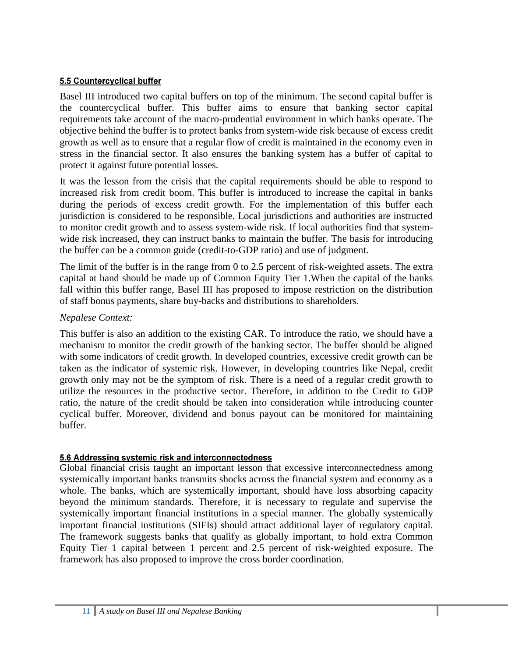## <span id="page-13-0"></span>5.5 Countercyclical buffer

Basel III introduced two capital buffers on top of the minimum. The second capital buffer is the countercyclical buffer. This buffer aims to ensure that banking sector capital requirements take account of the macro-prudential environment in which banks operate. The objective behind the buffer is to protect banks from system-wide risk because of excess credit growth as well as to ensure that a regular flow of credit is maintained in the economy even in stress in the financial sector. It also ensures the banking system has a buffer of capital to protect it against future potential losses.

It was the lesson from the crisis that the capital requirements should be able to respond to increased risk from credit boom. This buffer is introduced to increase the capital in banks during the periods of excess credit growth. For the implementation of this buffer each jurisdiction is considered to be responsible. Local jurisdictions and authorities are instructed to monitor credit growth and to assess system-wide risk. If local authorities find that systemwide risk increased, they can instruct banks to maintain the buffer. The basis for introducing the buffer can be a common guide (credit-to-GDP ratio) and use of judgment.

The limit of the buffer is in the range from 0 to 2.5 percent of risk-weighted assets. The extra capital at hand should be made up of Common Equity Tier 1.When the capital of the banks fall within this buffer range, Basel III has proposed to impose restriction on the distribution of staff bonus payments, share buy-backs and distributions to shareholders.

# *Nepalese Context:*

This buffer is also an addition to the existing CAR. To introduce the ratio, we should have a mechanism to monitor the credit growth of the banking sector. The buffer should be aligned with some indicators of credit growth. In developed countries, excessive credit growth can be taken as the indicator of systemic risk. However, in developing countries like Nepal, credit growth only may not be the symptom of risk. There is a need of a regular credit growth to utilize the resources in the productive sector. Therefore, in addition to the Credit to GDP ratio, the nature of the credit should be taken into consideration while introducing counter cyclical buffer. Moreover, dividend and bonus payout can be monitored for maintaining buffer.

# <span id="page-13-1"></span>5.6 Addressing systemic risk and interconnectedness

Global financial crisis taught an important lesson that excessive interconnectedness among systemically important banks transmits shocks across the financial system and economy as a whole. The banks, which are systemically important, should have loss absorbing capacity beyond the minimum standards. Therefore, it is necessary to regulate and supervise the systemically important financial institutions in a special manner. The globally systemically important financial institutions (SIFIs) should attract additional layer of regulatory capital. The framework suggests banks that qualify as globally important, to hold extra Common Equity Tier 1 capital between 1 percent and 2.5 percent of risk-weighted exposure. The framework has also proposed to improve the cross border coordination.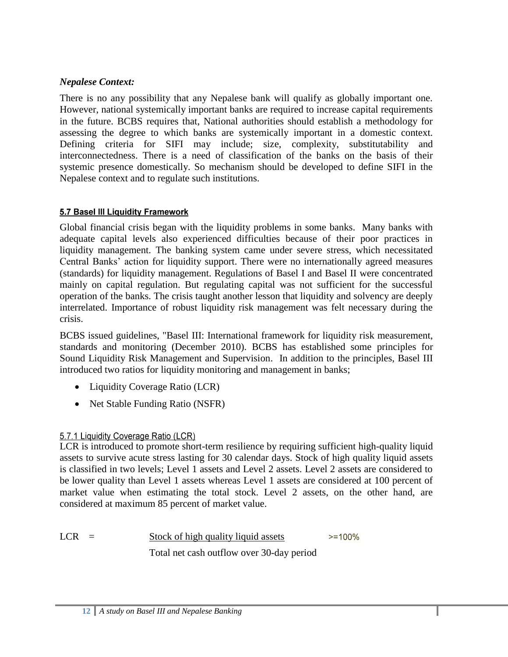# *Nepalese Context:*

There is no any possibility that any Nepalese bank will qualify as globally important one. However, national systemically important banks are required to increase capital requirements in the future. BCBS requires that, National authorities should establish a methodology for assessing the degree to which banks are systemically important in a domestic context. Defining criteria for SIFI may include; size, complexity, substitutability and interconnectedness. There is a need of classification of the banks on the basis of their systemic presence domestically. So mechanism should be developed to define SIFI in the Nepalese context and to regulate such institutions.

# <span id="page-14-0"></span>5.7 Basel III Liquidity Framework

Global financial crisis began with the liquidity problems in some banks. Many banks with adequate capital levels also experienced difficulties because of their poor practices in liquidity management. The banking system came under severe stress, which necessitated Central Banks' action for liquidity support. There were no internationally agreed measures (standards) for liquidity management. Regulations of Basel I and Basel II were concentrated mainly on capital regulation. But regulating capital was not sufficient for the successful operation of the banks. The crisis taught another lesson that liquidity and solvency are deeply interrelated. Importance of robust liquidity risk management was felt necessary during the crisis.

BCBS issued guidelines, "Basel III: International framework for liquidity risk measurement, standards and monitoring (December 2010). BCBS has established some principles for Sound Liquidity Risk Management and Supervision. In addition to the principles, Basel III introduced two ratios for liquidity monitoring and management in banks;

- Liquidity Coverage Ratio (LCR)
- Net Stable Funding Ratio (NSFR)

# <span id="page-14-1"></span>5.7.1 Liquidity Coverage Ratio (LCR)

LCR is introduced to promote short-term resilience by requiring sufficient high-quality liquid assets to survive acute stress lasting for 30 calendar days. Stock of high quality liquid assets is classified in two levels; Level 1 assets and Level 2 assets. Level 2 assets are considered to be lower quality than Level 1 assets whereas Level 1 assets are considered at 100 percent of market value when estimating the total stock. Level 2 assets, on the other hand, are considered at maximum 85 percent of market value.

LCR = Stock of high quality liquid assets Total net cash outflow over 30-day period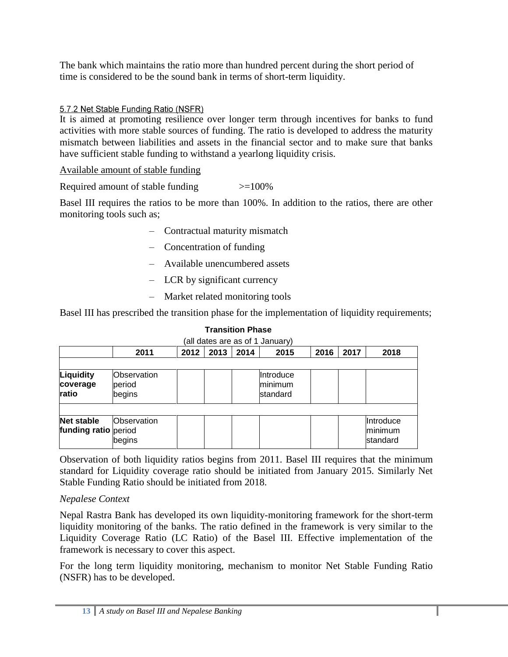The bank which maintains the ratio more than hundred percent during the short period of time is considered to be the sound bank in terms of short-term liquidity.

# <span id="page-15-0"></span>5.7.2 Net Stable Funding Ratio (NSFR)

It is aimed at promoting resilience over longer term through incentives for banks to fund activities with more stable sources of funding. The ratio is developed to address the maturity mismatch between liabilities and assets in the financial sector and to make sure that banks have sufficient stable funding to withstand a yearlong liquidity crisis.

Available amount of stable funding

Required amount of stable funding >=100%

Basel III requires the ratios to be more than 100%. In addition to the ratios, there are other monitoring tools such as;

- Contractual maturity mismatch
- Concentration of funding
- Available unencumbered assets
- LCR by significant currency
- Market related monitoring tools

Basel III has prescribed the transition phase for the implementation of liquidity requirements;

|                                           | (all dates are as of 1 January)        |      |      |      |                                  |      |      |                                  |  |  |
|-------------------------------------------|----------------------------------------|------|------|------|----------------------------------|------|------|----------------------------------|--|--|
|                                           | 2011                                   | 2012 | 2013 | 2014 | 2015                             | 2016 | 2017 | 2018                             |  |  |
|                                           |                                        |      |      |      |                                  |      |      |                                  |  |  |
| Liquidity<br>coverage<br>ratio            | <b>Observation</b><br>period<br>begins |      |      |      | Introduce<br>minimum<br>standard |      |      |                                  |  |  |
| <b>Net stable</b><br>funding ratio period | Observation<br>begins                  |      |      |      |                                  |      |      | Introduce<br>minimum<br>standard |  |  |

# **Transition Phase**

Observation of both liquidity ratios begins from 2011. Basel III requires that the minimum standard for Liquidity coverage ratio should be initiated from January 2015. Similarly Net Stable Funding Ratio should be initiated from 2018.

# *Nepalese Context*

Nepal Rastra Bank has developed its own liquidity-monitoring framework for the short-term liquidity monitoring of the banks. The ratio defined in the framework is very similar to the Liquidity Coverage Ratio (LC Ratio) of the Basel III. Effective implementation of the framework is necessary to cover this aspect.

For the long term liquidity monitoring, mechanism to monitor Net Stable Funding Ratio (NSFR) has to be developed.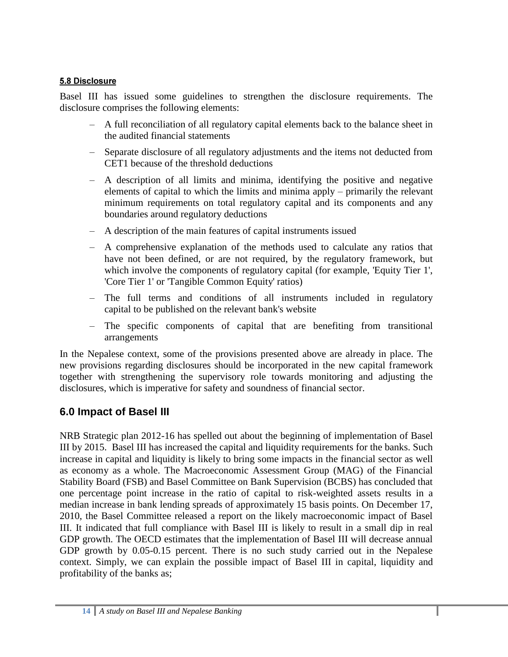## <span id="page-16-0"></span>5.8 Disclosure

Basel III has issued some guidelines to strengthen the disclosure requirements. The disclosure comprises the following elements:

- A full reconciliation of all regulatory capital elements back to the balance sheet in the audited financial statements
- Separate disclosure of all regulatory adjustments and the items not deducted from CET1 because of the threshold deductions
- A description of all limits and minima, identifying the positive and negative elements of capital to which the limits and minima apply – primarily the relevant minimum requirements on total regulatory capital and its components and any boundaries around regulatory deductions
- A description of the main features of capital instruments issued
- A comprehensive explanation of the methods used to calculate any ratios that have not been defined, or are not required, by the regulatory framework, but which involve the components of regulatory capital (for example, 'Equity Tier 1', 'Core Tier 1' or 'Tangible Common Equity' ratios)
- The full terms and conditions of all instruments included in regulatory capital to be published on the relevant bank's website
- The specific components of capital that are benefiting from transitional arrangements

In the Nepalese context, some of the provisions presented above are already in place. The new provisions regarding disclosures should be incorporated in the new capital framework together with strengthening the supervisory role towards monitoring and adjusting the disclosures, which is imperative for safety and soundness of financial sector.

# <span id="page-16-1"></span>**6.0 Impact of Basel III**

NRB Strategic plan 2012-16 has spelled out about the beginning of implementation of Basel III by 2015. Basel III has increased the capital and liquidity requirements for the banks. Such increase in capital and liquidity is likely to bring some impacts in the financial sector as well as economy as a whole. The Macroeconomic Assessment Group (MAG) of the Financial Stability Board (FSB) and Basel Committee on Bank Supervision (BCBS) has concluded that one percentage point increase in the ratio of capital to risk-weighted assets results in a median increase in bank lending spreads of approximately 15 basis points. On December 17, 2010, the Basel Committee released a report on the likely macroeconomic impact of Basel III. It indicated that full compliance with Basel III is likely to result in a small dip in real GDP growth. The OECD estimates that the implementation of Basel III will decrease annual GDP growth by 0.05-0.15 percent. There is no such study carried out in the Nepalese context. Simply, we can explain the possible impact of Basel III in capital, liquidity and profitability of the banks as;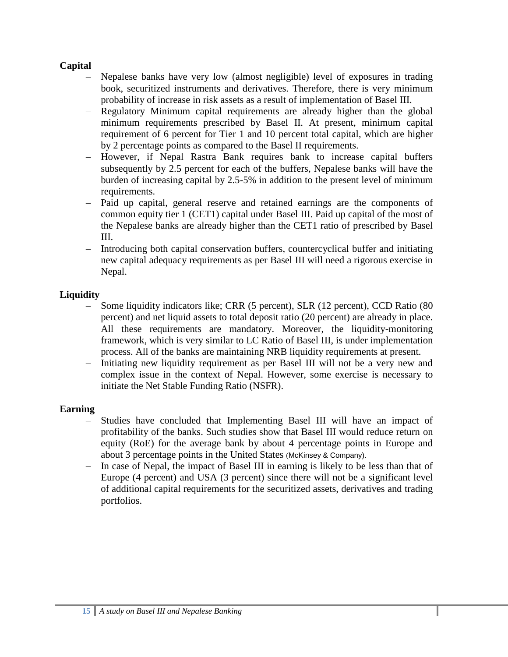## **Capital**

- Nepalese banks have very low (almost negligible) level of exposures in trading book, securitized instruments and derivatives. Therefore, there is very minimum probability of increase in risk assets as a result of implementation of Basel III.
- Regulatory Minimum capital requirements are already higher than the global minimum requirements prescribed by Basel II. At present, minimum capital requirement of 6 percent for Tier 1 and 10 percent total capital, which are higher by 2 percentage points as compared to the Basel II requirements.
- However, if Nepal Rastra Bank requires bank to increase capital buffers subsequently by 2.5 percent for each of the buffers, Nepalese banks will have the burden of increasing capital by 2.5-5% in addition to the present level of minimum requirements.
- Paid up capital, general reserve and retained earnings are the components of common equity tier 1 (CET1) capital under Basel III. Paid up capital of the most of the Nepalese banks are already higher than the CET1 ratio of prescribed by Basel III.
- Introducing both capital conservation buffers, countercyclical buffer and initiating new capital adequacy requirements as per Basel III will need a rigorous exercise in Nepal.

# **Liquidity**

- Some liquidity indicators like; CRR (5 percent), SLR (12 percent), CCD Ratio (80 percent) and net liquid assets to total deposit ratio (20 percent) are already in place. All these requirements are mandatory. Moreover, the liquidity-monitoring framework, which is very similar to LC Ratio of Basel III, is under implementation process. All of the banks are maintaining NRB liquidity requirements at present.
- Initiating new liquidity requirement as per Basel III will not be a very new and complex issue in the context of Nepal. However, some exercise is necessary to initiate the Net Stable Funding Ratio (NSFR).

#### **Earning**

- Studies have concluded that Implementing Basel III will have an impact of profitability of the banks. Such studies show that Basel III would reduce return on equity (RoE) for the average bank by about 4 percentage points in Europe and about 3 percentage points in the United States (McKinsey & Company).
- In case of Nepal, the impact of Basel III in earning is likely to be less than that of Europe (4 percent) and USA (3 percent) since there will not be a significant level of additional capital requirements for the securitized assets, derivatives and trading portfolios.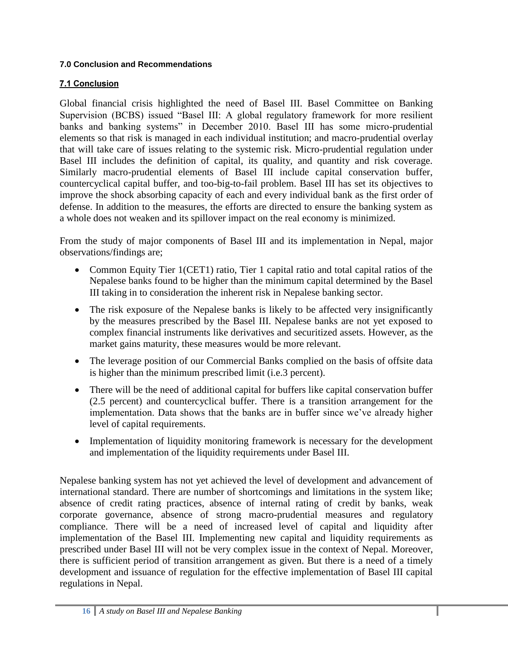## <span id="page-18-0"></span>**7.0 Conclusion and Recommendations**

# <span id="page-18-1"></span>**7.1 Conclusion**

Global financial crisis highlighted the need of Basel III. Basel Committee on Banking Supervision (BCBS) issued "Basel III: A global regulatory framework for more resilient banks and banking systems" in December 2010. Basel III has some micro-prudential elements so that risk is managed in each individual institution; and macro-prudential overlay that will take care of issues relating to the systemic risk. Micro-prudential regulation under Basel III includes the definition of capital, its quality, and quantity and risk coverage. Similarly macro-prudential elements of Basel III include capital conservation buffer, countercyclical capital buffer, and too-big-to-fail problem. Basel III has set its objectives to improve the shock absorbing capacity of each and every individual bank as the first order of defense. In addition to the measures, the efforts are directed to ensure the banking system as a whole does not weaken and its spillover impact on the real economy is minimized.

From the study of major components of Basel III and its implementation in Nepal, major observations/findings are;

- Common Equity Tier 1(CET1) ratio, Tier 1 capital ratio and total capital ratios of the Nepalese banks found to be higher than the minimum capital determined by the Basel III taking in to consideration the inherent risk in Nepalese banking sector.
- The risk exposure of the Nepalese banks is likely to be affected very insignificantly by the measures prescribed by the Basel III. Nepalese banks are not yet exposed to complex financial instruments like derivatives and securitized assets. However, as the market gains maturity, these measures would be more relevant.
- The leverage position of our Commercial Banks complied on the basis of offsite data is higher than the minimum prescribed limit (i.e.3 percent).
- There will be the need of additional capital for buffers like capital conservation buffer (2.5 percent) and countercyclical buffer. There is a transition arrangement for the implementation. Data shows that the banks are in buffer since we've already higher level of capital requirements.
- Implementation of liquidity monitoring framework is necessary for the development and implementation of the liquidity requirements under Basel III.

Nepalese banking system has not yet achieved the level of development and advancement of international standard. There are number of shortcomings and limitations in the system like; absence of credit rating practices, absence of internal rating of credit by banks, weak corporate governance, absence of strong macro-prudential measures and regulatory compliance. There will be a need of increased level of capital and liquidity after implementation of the Basel III. Implementing new capital and liquidity requirements as prescribed under Basel III will not be very complex issue in the context of Nepal. Moreover, there is sufficient period of transition arrangement as given. But there is a need of a timely development and issuance of regulation for the effective implementation of Basel III capital regulations in Nepal.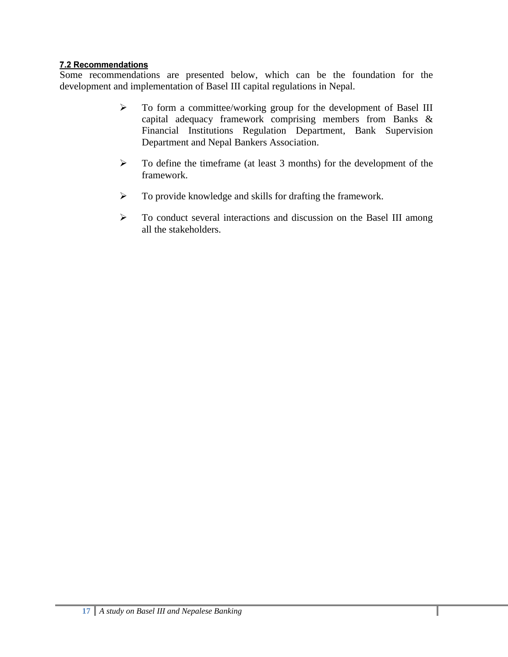## <span id="page-19-0"></span>7.2 Recommendations

Some recommendations are presented below, which can be the foundation for the development and implementation of Basel III capital regulations in Nepal.

- To form a committee/working group for the development of Basel III capital adequacy framework comprising members from Banks & Financial Institutions Regulation Department, Bank Supervision Department and Nepal Bankers Association.
- $\triangleright$  To define the timeframe (at least 3 months) for the development of the framework.
- $\triangleright$  To provide knowledge and skills for drafting the framework.
- $\triangleright$  To conduct several interactions and discussion on the Basel III among all the stakeholders.

ı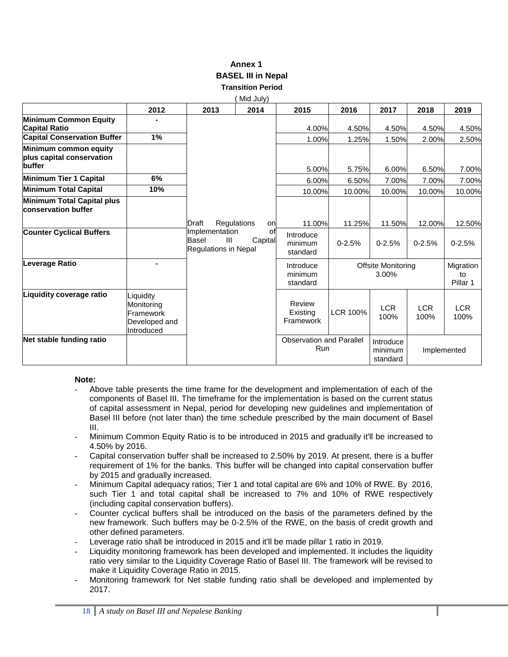#### **Annex 1 BASEL III in Nepal Transition Period**

|                                                              |                                                                     |                                                                   | Mid July)                                                              |                                               |            |                                  |                    |                             |
|--------------------------------------------------------------|---------------------------------------------------------------------|-------------------------------------------------------------------|------------------------------------------------------------------------|-----------------------------------------------|------------|----------------------------------|--------------------|-----------------------------|
|                                                              | 2012                                                                | 2013                                                              | 2014                                                                   | 2015                                          | 2016       | 2017                             | 2018               | 2019                        |
| Minimum Common Equity<br><b>Capital Ratio</b>                |                                                                     |                                                                   |                                                                        | 4.00%                                         | 4.50%      | 4.50%                            | 4.50%              | 4.50%                       |
| <b>Capital Conservation Buffer</b>                           | 1%                                                                  |                                                                   |                                                                        | 1.00%                                         | 1.25%      | 1.50%                            | 2.00%              | 2.50%                       |
| Minimum common equity<br>plus capital conservation<br>buffer |                                                                     |                                                                   |                                                                        | 5.00%                                         | 5.75%      | 6.00%                            | 6.50%              | 7.00%                       |
| Minimum Tier 1 Capital                                       | 6%                                                                  |                                                                   |                                                                        | 6.00%                                         | 6.50%      | 7.00%                            | 7.00%              | 7.00%                       |
| Minimum Total Capital                                        | 10%                                                                 |                                                                   |                                                                        | 10.00%                                        | 10.00%     | 10.00%                           | 10.00%             | 10.00%                      |
| Minimum Total Capital plus<br><b>conservation buffer</b>     |                                                                     |                                                                   |                                                                        |                                               |            |                                  |                    |                             |
|                                                              |                                                                     | Draft                                                             | Regulations<br>on                                                      | 11.00%                                        | 11.25%     | 11.50%                           | 12.00%             | 12.50%                      |
| <b>Counter Cyclical Buffers</b>                              |                                                                     | Implementation<br>Basel<br>$\mathbf{III}$<br>Regulations in Nepal | οf<br>Capital                                                          | Introduce<br>minimum<br>standard              | $0 - 2.5%$ | $0 - 2.5%$                       | $0 - 2.5%$         | $0 - 2.5%$                  |
| Leverage Ratio                                               |                                                                     |                                                                   | <b>Offsite Monitoring</b><br>Introduce<br>3.00%<br>minimum<br>standard |                                               |            |                                  |                    | Migration<br>to<br>Pillar 1 |
| Liquidity coverage ratio                                     | Liquidity<br>Monitoring<br>Framework<br>Developed and<br>Introduced |                                                                   |                                                                        | Review<br>Existing<br>Framework               | LCR 100%   | <b>LCR</b><br>100%               | <b>LCR</b><br>100% | <b>LCR</b><br>100%          |
| Net stable funding ratio                                     |                                                                     |                                                                   |                                                                        | <b>Observation and Parallel</b><br><b>Run</b> |            | Introduce<br>minimum<br>standard | Implemented        |                             |

#### **Note:**

- Above table presents the time frame for the development and implementation of each of the components of Basel III. The timeframe for the implementation is based on the current status of capital assessment in Nepal, period for developing new guidelines and implementation of Basel III before (not later than) the time schedule prescribed by the main document of Basel III.
- Minimum Common Equity Ratio is to be introduced in 2015 and gradually it'll be increased to 4.50% by 2016.
- Capital conservation buffer shall be increased to 2.50% by 2019. At present, there is a buffer requirement of 1% for the banks. This buffer will be changed into capital conservation buffer by 2015 and gradually increased.
- Minimum Capital adequacy ratios; Tier 1 and total capital are 6% and 10% of RWE. By 2016, such Tier 1 and total capital shall be increased to 7% and 10% of RWE respectively (including capital conservation buffers).
- Counter cyclical buffers shall be introduced on the basis of the parameters defined by the new framework. Such buffers may be 0-2.5% of the RWE, on the basis of credit growth and other defined parameters.
- Leverage ratio shall be introduced in 2015 and it'll be made pillar 1 ratio in 2019.
- Liquidity monitoring framework has been developed and implemented. It includes the liquidity ratio very similar to the Liquidity Coverage Ratio of Basel III. The framework will be revised to make it Liquidity Coverage Ratio in 2015.
- Monitoring framework for Net stable funding ratio shall be developed and implemented by 2017.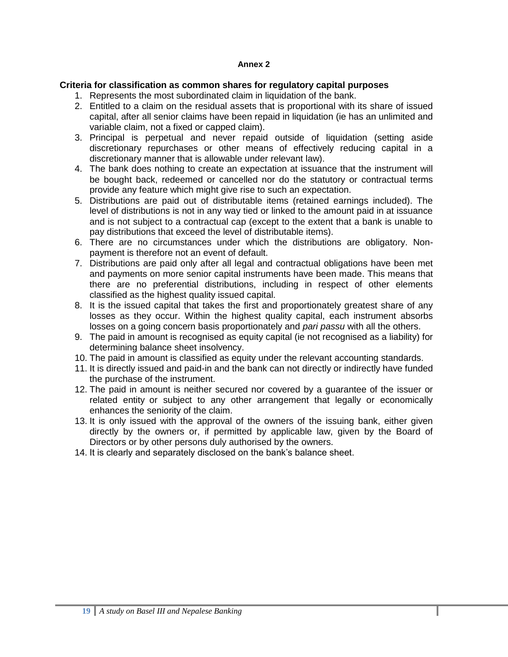#### **Annex 2**

#### **Criteria for classification as common shares for regulatory capital purposes**

- 1. Represents the most subordinated claim in liquidation of the bank.
- 2. Entitled to a claim on the residual assets that is proportional with its share of issued capital, after all senior claims have been repaid in liquidation (ie has an unlimited and variable claim, not a fixed or capped claim).
- 3. Principal is perpetual and never repaid outside of liquidation (setting aside discretionary repurchases or other means of effectively reducing capital in a discretionary manner that is allowable under relevant law).
- 4. The bank does nothing to create an expectation at issuance that the instrument will be bought back, redeemed or cancelled nor do the statutory or contractual terms provide any feature which might give rise to such an expectation.
- 5. Distributions are paid out of distributable items (retained earnings included). The level of distributions is not in any way tied or linked to the amount paid in at issuance and is not subject to a contractual cap (except to the extent that a bank is unable to pay distributions that exceed the level of distributable items).
- 6. There are no circumstances under which the distributions are obligatory. Nonpayment is therefore not an event of default.
- 7. Distributions are paid only after all legal and contractual obligations have been met and payments on more senior capital instruments have been made. This means that there are no preferential distributions, including in respect of other elements classified as the highest quality issued capital.
- 8. It is the issued capital that takes the first and proportionately greatest share of any losses as they occur. Within the highest quality capital, each instrument absorbs losses on a going concern basis proportionately and *pari passu* with all the others.
- 9. The paid in amount is recognised as equity capital (ie not recognised as a liability) for determining balance sheet insolvency.
- 10. The paid in amount is classified as equity under the relevant accounting standards.
- 11. It is directly issued and paid-in and the bank can not directly or indirectly have funded the purchase of the instrument.
- 12. The paid in amount is neither secured nor covered by a guarantee of the issuer or related entity or subject to any other arrangement that legally or economically enhances the seniority of the claim.
- 13. It is only issued with the approval of the owners of the issuing bank, either given directly by the owners or, if permitted by applicable law, given by the Board of Directors or by other persons duly authorised by the owners.
- 14. It is clearly and separately disclosed on the bank's balance sheet.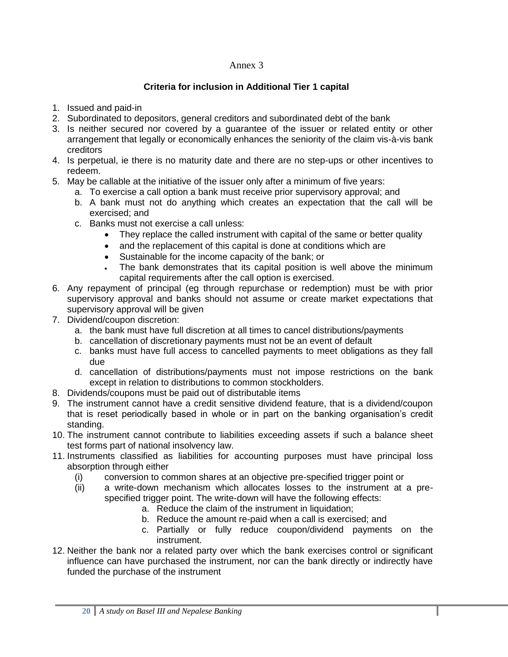#### Annex 3

## **Criteria for inclusion in Additional Tier 1 capital**

- 1. Issued and paid-in
- 2. Subordinated to depositors, general creditors and subordinated debt of the bank
- 3. Is neither secured nor covered by a guarantee of the issuer or related entity or other arrangement that legally or economically enhances the seniority of the claim vis-à-vis bank creditors
- 4. Is perpetual, ie there is no maturity date and there are no step-ups or other incentives to redeem.
- 5. May be callable at the initiative of the issuer only after a minimum of five years:
	- a. To exercise a call option a bank must receive prior supervisory approval; and
	- b. A bank must not do anything which creates an expectation that the call will be exercised; and
	- c. Banks must not exercise a call unless:
		- They replace the called instrument with capital of the same or better quality
		- and the replacement of this capital is done at conditions which are
		- Sustainable for the income capacity of the bank; or
		- The bank demonstrates that its capital position is well above the minimum capital requirements after the call option is exercised.
- 6. Any repayment of principal (eg through repurchase or redemption) must be with prior supervisory approval and banks should not assume or create market expectations that supervisory approval will be given
- 7. Dividend/coupon discretion:
	- a. the bank must have full discretion at all times to cancel distributions/payments
	- b. cancellation of discretionary payments must not be an event of default
	- c. banks must have full access to cancelled payments to meet obligations as they fall due
	- d. cancellation of distributions/payments must not impose restrictions on the bank except in relation to distributions to common stockholders.
- 8. Dividends/coupons must be paid out of distributable items
- 9. The instrument cannot have a credit sensitive dividend feature, that is a dividend/coupon that is reset periodically based in whole or in part on the banking organisation's credit standing.
- 10. The instrument cannot contribute to liabilities exceeding assets if such a balance sheet test forms part of national insolvency law.
- 11. Instruments classified as liabilities for accounting purposes must have principal loss absorption through either
	- (i) conversion to common shares at an objective pre-specified trigger point or
	- (ii) a write-down mechanism which allocates losses to the instrument at a prespecified trigger point. The write-down will have the following effects:
		- a. Reduce the claim of the instrument in liquidation;
		- b. Reduce the amount re-paid when a call is exercised; and
		- c. Partially or fully reduce coupon/dividend payments on the instrument.
- 12. Neither the bank nor a related party over which the bank exercises control or significant influence can have purchased the instrument, nor can the bank directly or indirectly have funded the purchase of the instrument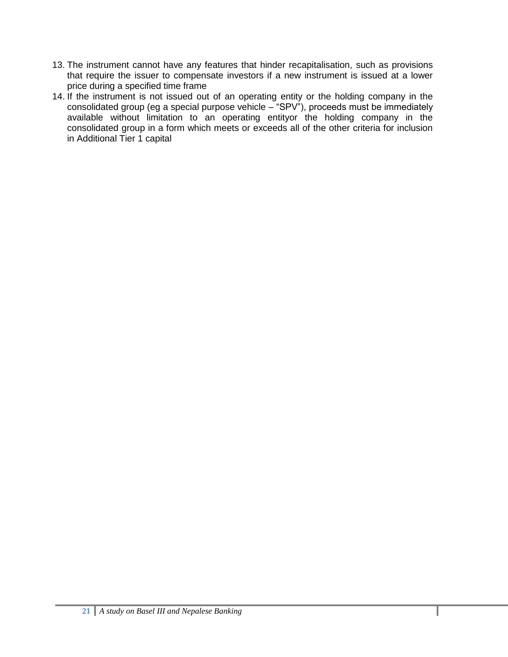- 13. The instrument cannot have any features that hinder recapitalisation, such as provisions that require the issuer to compensate investors if a new instrument is issued at a lower price during a specified time frame
- 14. If the instrument is not issued out of an operating entity or the holding company in the consolidated group (eg a special purpose vehicle – "SPV"), proceeds must be immediately available without limitation to an operating entityor the holding company in the consolidated group in a form which meets or exceeds all of the other criteria for inclusion in Additional Tier 1 capital

ı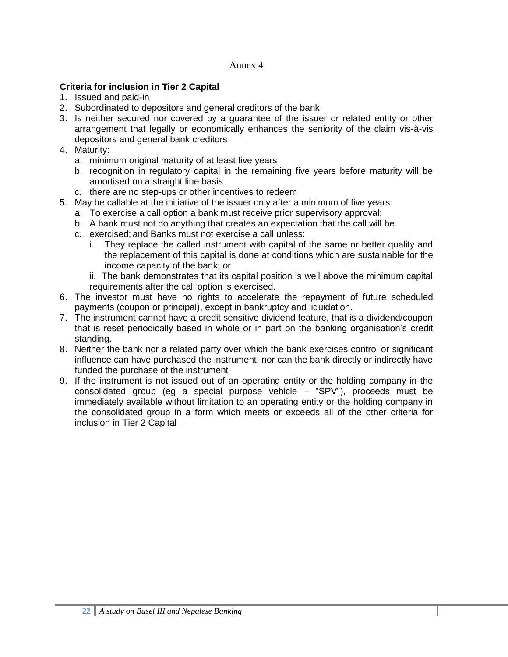#### Annex 4

## **Criteria for inclusion in Tier 2 Capital**

- 1. Issued and paid-in
- 2. Subordinated to depositors and general creditors of the bank
- 3. Is neither secured nor covered by a guarantee of the issuer or related entity or other arrangement that legally or economically enhances the seniority of the claim vis-à-vis depositors and general bank creditors
- 4. Maturity:
	- a. minimum original maturity of at least five years
	- b. recognition in regulatory capital in the remaining five years before maturity will be amortised on a straight line basis
	- c. there are no step-ups or other incentives to redeem
- 5. May be callable at the initiative of the issuer only after a minimum of five years:
	- a. To exercise a call option a bank must receive prior supervisory approval;
	- b. A bank must not do anything that creates an expectation that the call will be
	- c. exercised; and Banks must not exercise a call unless:
		- i. They replace the called instrument with capital of the same or better quality and the replacement of this capital is done at conditions which are sustainable for the income capacity of the bank; or
		- ii. The bank demonstrates that its capital position is well above the minimum capital requirements after the call option is exercised.
- 6. The investor must have no rights to accelerate the repayment of future scheduled payments (coupon or principal), except in bankruptcy and liquidation.
- 7. The instrument cannot have a credit sensitive dividend feature, that is a dividend/coupon that is reset periodically based in whole or in part on the banking organisation's credit standing.
- 8. Neither the bank nor a related party over which the bank exercises control or significant influence can have purchased the instrument, nor can the bank directly or indirectly have funded the purchase of the instrument
- 9. If the instrument is not issued out of an operating entity or the holding company in the consolidated group (eg a special purpose vehicle – "SPV"), proceeds must be immediately available without limitation to an operating entity or the holding company in the consolidated group in a form which meets or exceeds all of the other criteria for inclusion in Tier 2 Capital